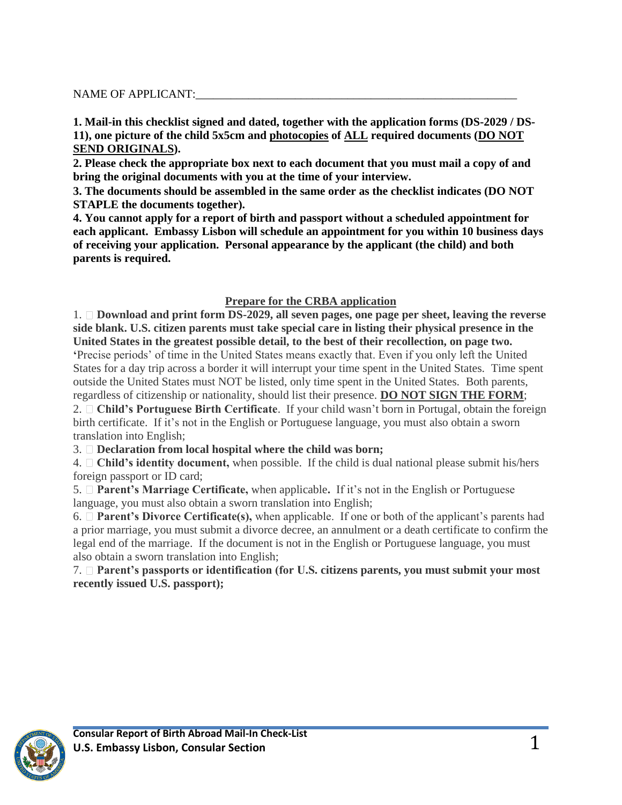### NAME OF APPLICANT:

**1. Mail-in this checklist signed and dated, together with the application forms (DS-2029 / DS-11), one picture of the child 5x5cm and photocopies of ALL required documents (DO NOT SEND ORIGINALS).**

**2. Please check the appropriate box next to each document that you must mail a copy of and bring the original documents with you at the time of your interview.** 

**3. The documents should be assembled in the same order as the checklist indicates (DO NOT STAPLE the documents together).**

**4. You cannot apply for a report of birth and passport without a scheduled appointment for each applicant. Embassy Lisbon will schedule an appointment for you within 10 business days of receiving your application. Personal appearance by the applicant (the child) and both parents is required.**

### **Prepare for the CRBA application**

1. **Download and print form DS-2029, all seven pages, one page per sheet, leaving the reverse side blank. U.S. citizen parents must take special care in listing their physical presence in the United States in the greatest possible detail, to the best of their recollection, on page two. '**Precise periods' of time in the United States means exactly that. Even if you only left the United

States for a day trip across a border it will interrupt your time spent in the United States. Time spent outside the United States must NOT be listed, only time spent in the United States. Both parents, regardless of citizenship or nationality, should list their presence. **DO NOT SIGN THE FORM**;

2. **Child's Portuguese Birth Certificate**. If your child wasn't born in Portugal, obtain the foreign birth certificate. If it's not in the English or Portuguese language, you must also obtain a sworn translation into English;

3. **Declaration from local hospital where the child was born;**

4. **Child's identity document,** when possible. If the child is dual national please submit his/hers foreign passport or ID card;

5. **Parent's Marriage Certificate,** when applicable**.** If it's not in the English or Portuguese language, you must also obtain a sworn translation into English;

6. **Parent's Divorce Certificate(s),** when applicable. If one or both of the applicant's parents had a prior marriage, you must submit a divorce decree, an annulment or a death certificate to confirm the legal end of the marriage. If the document is not in the English or Portuguese language, you must also obtain a sworn translation into English;

7. **Parent's passports or identification (for U.S. citizens parents, you must submit your most recently issued U.S. passport);**

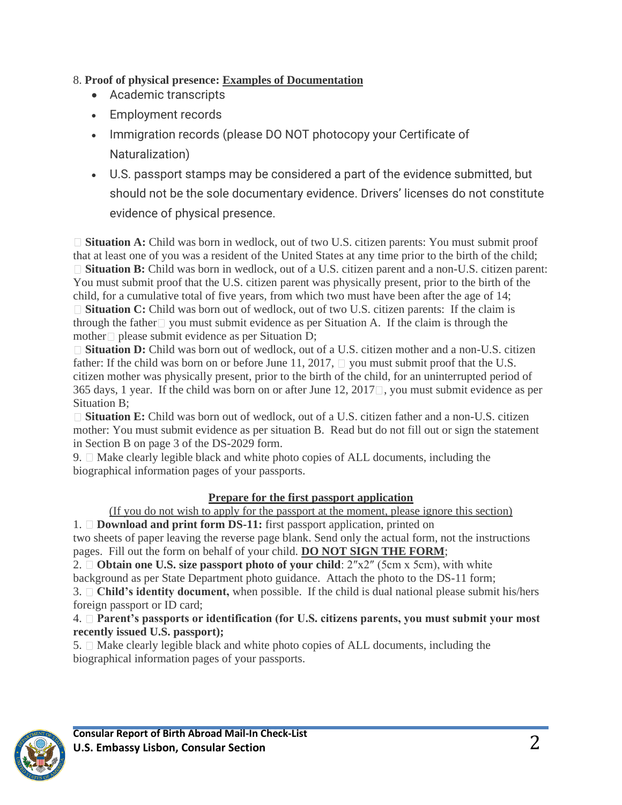# 8. **Proof of physical presence: Examples of Documentation**

- Academic transcripts
- Employment records
- Immigration records (please DO NOT photocopy your Certificate of Naturalization)
- U.S. passport stamps may be considered a part of the evidence submitted, but should not be the sole documentary evidence. Drivers' licenses do not constitute evidence of physical presence.

□ **Situation A:** Child was born in wedlock, out of two U.S. citizen parents: You must submit proof that at least one of you was a resident of the United States at any time prior to the birth of the child; □ **Situation B:** Child was born in wedlock, out of a U.S. citizen parent and a non-U.S. citizen parent: You must submit proof that the U.S. citizen parent was physically present, prior to the birth of the child, for a cumulative total of five years, from which two must have been after the age of 14; □ **Situation C:** Child was born out of wedlock, out of two U.S. citizen parents: If the claim is through the father  $\Box$  you must submit evidence as per Situation A. If the claim is through the mother please submit evidence as per Situation D;

□ **Situation D:** Child was born out of wedlock, out of a U.S. citizen mother and a non-U.S. citizen father: If the child was born on or before June 11, 2017,  $\Box$  you must submit proof that the U.S. citizen mother was physically present, prior to the birth of the child, for an uninterrupted period of 365 days, 1 year. If the child was born on or after June 12, 2017  $\Box$ , you must submit evidence as per Situation B;

**Situation E:** Child was born out of wedlock, out of a U.S. citizen father and a non-U.S. citizen mother: You must submit evidence as per situation B. Read but do not fill out or sign the statement in Section B on page 3 of the DS-2029 form.

9.  $\Box$  Make clearly legible black and white photo copies of ALL documents, including the biographical information pages of your passports.

## **Prepare for the first passport application**

(If you do not wish to apply for the passport at the moment, please ignore this section)

1. **Download and print form DS-11:** first passport application, printed on two sheets of paper leaving the reverse page blank. Send only the actual form, not the instructions pages. Fill out the form on behalf of your child. **DO NOT SIGN THE FORM**;

2. **Obtain one U.S. size passport photo of your child**: 2″x2″ (5cm x 5cm), with white background as per State Department photo guidance. Attach the photo to the DS-11 form;

3. **Child's identity document,** when possible. If the child is dual national please submit his/hers foreign passport or ID card;

4. **Parent's passports or identification (for U.S. citizens parents, you must submit your most recently issued U.S. passport);**

 $5. \Box$  Make clearly legible black and white photo copies of ALL documents, including the biographical information pages of your passports.